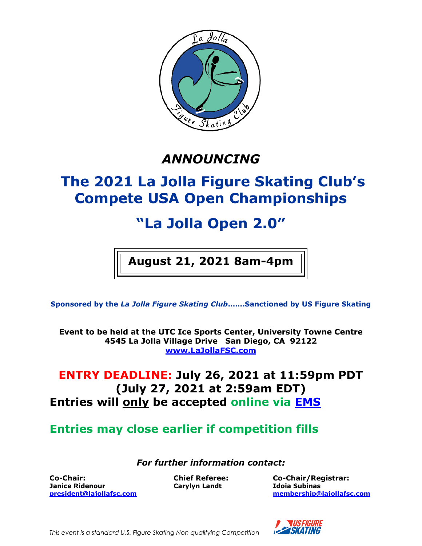

# *ANNOUNCING*

# **The 2021 La Jolla Figure Skating Club's Compete USA Open Championships**

# **"La Jolla Open 2.0"**

# **August 21, 2021 8am-4pm**

**Sponsored by the** *La Jolla Figure Skating Club***…….Sanctioned by US Figure Skating** 

**Event to be held at the UTC Ice Sports Center, University Towne Centre 4545 La Jolla Village Drive San Diego, CA 92122 [www.LaJollaFSC.com](http://www.lajollafsc.com/)**

## **ENTRY DEADLINE: July 26, 2021 at 11:59pm PDT (July 27, 2021 at 2:59am EDT) Entries will only be accepted online via [EMS](https://m.usfigureskating.org/competition-registration/)**

**Entries may close earlier if competition fills**

*For further information contact:*

**Co-Chair: Chief Referee: Co-Chair/Registrar: Janice Ridenour Carylyn Landt Idoia Subinas**

**[president@lajollafsc.com](mailto:president@lajollafsc.com) [membership@lajollafsc.com](mailto:membership@lajollafsc.com)**



*This event is a standard U.S. Figure Skating Non-qualifying Competition*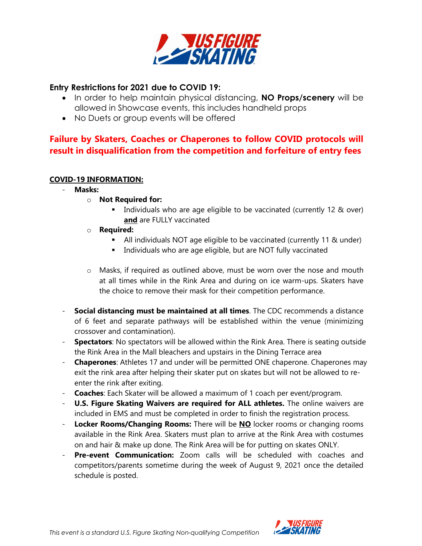

### **Entry Restrictions for 2021 due to COVID 19:**

- In order to help maintain physical distancing, **NO Props/scenery** will be allowed in Showcase events, this includes handheld props
- No Duets or group events will be offered

### **Failure by Skaters, Coaches or Chaperones to follow COVID protocols will result in disqualification from the competition and forfeiture of entry fees**

### **COVID-19 INFORMATION:**

- **Masks:**
	- o **Not Required for:**
		- Individuals who are age eligible to be vaccinated (currently 12 & over) **and** are FULLY vaccinated
	- o **Required:**
		- All individuals NOT age eligible to be vaccinated (currently 11 & under)
		- Individuals who are age eligible, but are NOT fully vaccinated
	- $\circ$  Masks, if required as outlined above, must be worn over the nose and mouth at all times while in the Rink Area and during on ice warm-ups. Skaters have the choice to remove their mask for their competition performance.
- **Social distancing must be maintained at all times**. The CDC recommends a distance of 6 feet and separate pathways will be established within the venue (minimizing crossover and contamination).
- **Spectators**: No spectators will be allowed within the Rink Area. There is seating outside the Rink Area in the Mall bleachers and upstairs in the Dining Terrace area
- **Chaperones**: Athletes 17 and under will be permitted ONE chaperone. Chaperones may exit the rink area after helping their skater put on skates but will not be allowed to reenter the rink after exiting.
- **Coaches**: Each Skater will be allowed a maximum of 1 coach per event/program.
- **U.S. Figure Skating Waivers are required for ALL athletes.** The online waivers are included in EMS and must be completed in order to finish the registration process.
- **Locker Rooms/Changing Rooms:** There will be **NO** locker rooms or changing rooms available in the Rink Area. Skaters must plan to arrive at the Rink Area with costumes on and hair & make up done. The Rink Area will be for putting on skates ONLY.
- Pre-event Communication: Zoom calls will be scheduled with coaches and competitors/parents sometime during the week of August 9, 2021 once the detailed schedule is posted.

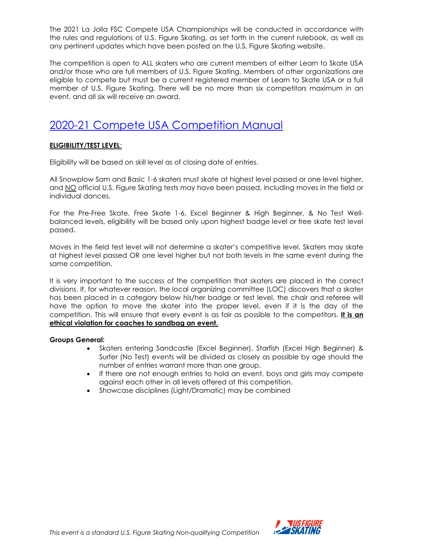The 2021 La Jolla FSC Compete USA Championships will be conducted in accordance with the rules and regulations of U.S. Figure Skating, as set forth in the current rulebook, as well as any pertinent updates which have been posted on the U.S. Figure Skating website.

The competition is open to ALL skaters who are current members of either Learn to Skate USA and/or those who are full members of U.S. Figure Skating. Members of other organizations are eligible to compete but must be a current registered member of Learn to Skate USA or a full member of U.S. Figure Skating. There will be no more than six competitors maximum in an event, and all six will receive an award.

## [2020-21 Compete USA Competition Manual](https://www.usfigureskating.org/sites/default/files/media-files/2020-21%20Compete%20USA%20Manual.pdf)

### **ELIGIBILITY/TEST LEVEL**:

Eligibility will be based on skill level as of closing date of entries.

All Snowplow Sam and Basic 1-6 skaters must skate at highest level passed or one level higher, and NO official U.S. Figure Skating tests may have been passed, including moves in the field or individual dances.

For the Pre-Free Skate, Free Skate 1-6, Excel Beginner & High Beginner, & No Test Wellbalanced levels, eligibility will be based only upon highest badge level or free skate test level passed.

Moves in the field test level will not determine a skater's competitive level. Skaters may skate at highest level passed OR one level higher but not both levels in the same event during the same competition.

It is very important to the success of the competition that skaters are placed in the correct divisions. If, for whatever reason, the local organizing committee (LOC) discovers that a skater has been placed in a category below his/her badge or test level, the chair and referee will have the option to move the skater into the proper level, even if it is the day of the competition. This will ensure that every event is as fair as possible to the competitors. **It is an ethical violation for coaches to sandbag an event.**

### **Groups General:**

- Skaters entering Sandcastle (Excel Beginner), Starfish (Excel High Beginner) & Surfer (No Test) events will be divided as closely as possible by age should the number of entries warrant more than one group.
- If there are not enough entries to hold an event, boys and girls may compete against each other in all levels offered at this competition.
- Showcase disciplines (Light/Dramatic) may be combined

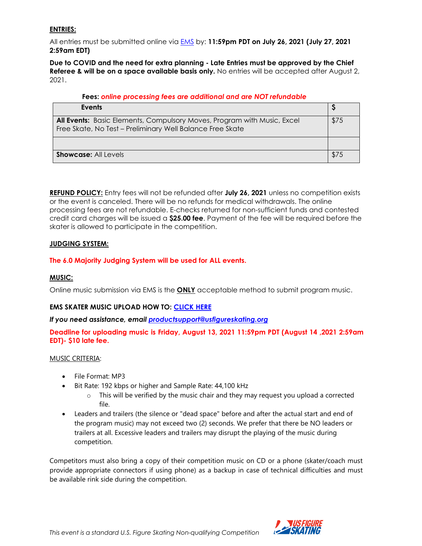### **ENTRIES:**

All entries must be submitted online via [EMS](https://m.usfigureskating.org/competition-registration/) by: **11:59pm PDT on July 26, 2021 (July 27, 2021 2:59am EDT)**

**Due to COVID and the need for extra planning - Late Entries must be approved by the Chief Referee & will be on a space available basis only.** No entries will be accepted after August 2, 2021.

### **Fees:** *online processing fees are additional and are NOT refundable*

| Events                                                                                                                                      |      |
|---------------------------------------------------------------------------------------------------------------------------------------------|------|
| <b>All Events:</b> Basic Elements, Compulsory Moves, Program with Music, Excel<br>Free Skate, No Test - Preliminary Well Balance Free Skate | \$75 |
|                                                                                                                                             |      |
| <b>Showcase: All Levels</b>                                                                                                                 |      |

**REFUND POLICY:** Entry fees will not be refunded after **July 26, 2021** unless no competition exists or the event is canceled. There will be no refunds for medical withdrawals. The online processing fees are not refundable. E-checks returned for non-sufficient funds and contested credit card charges will be issued a **\$25.00 fee**. Payment of the fee will be required before the skater is allowed to participate in the competition.

### **JUDGING SYSTEM:**

### **The 6.0 Majority Judging System will be used for ALL events.**

### **MUSIC:**

Online music submission via EMS is the **ONLY** acceptable method to submit program music.

### **EMS SKATER MUSIC UPLOAD HOW TO: [CLICK HERE](https://public.3.basecamp.com/p/ycj6D89r1GruJVv8oTSWXUqW)**

### *If you need assistance, email [productsupport@usfigureskating.org](mailto:productsupport@usfigureskating.org)*

**Deadline for uploading music is Friday, August 13, 2021 11:59pm PDT (August 14 ,2021 2:59am EDT)- \$10 late fee.**

### MUSIC CRITERIA:

- File Format: MP3
- Bit Rate: 192 kbps or higher and Sample Rate: 44,100 kHz
	- $\circ$  This will be verified by the music chair and they may request you upload a corrected file.
- Leaders and trailers (the silence or "dead space" before and after the actual start and end of the program music) may not exceed two (2) seconds. We prefer that there be NO leaders or trailers at all. Excessive leaders and trailers may disrupt the playing of the music during competition.

Competitors must also bring a copy of their competition music on CD or a phone (skater/coach must provide appropriate connectors if using phone) as a backup in case of technical difficulties and must be available rink side during the competition.

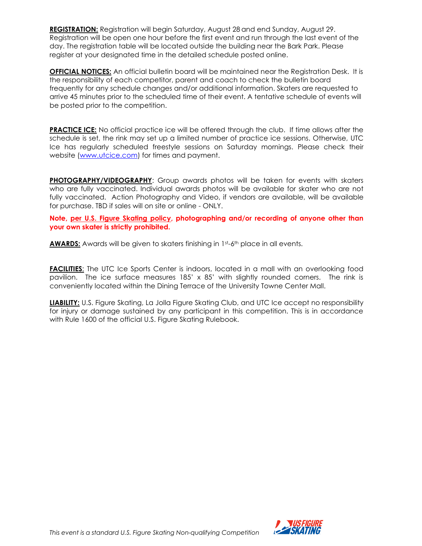**REGISTRATION:** Registration will begin Saturday, August 28 and end Sunday, August 29. Registration will be open one hour before the first event and run through the last event of the day. The registration table will be located outside the building near the Bark Park. Please register at your designated time in the detailed schedule posted online.

**OFFICIAL NOTICES:** An official bulletin board will be maintained near the Registration Desk. It is the responsibility of each competitor, parent and coach to check the bulletin board frequently for any schedule changes and/or additional information. Skaters are requested to arrive 45 minutes prior to the scheduled time of their event. A tentative schedule of events will be posted prior to the competition.

**PRACTICE ICE:** No official practice ice will be offered through the club. If time allows after the schedule is set, the rink may set up a limited number of practice ice sessions. Otherwise, UTC Ice has regularly scheduled freestyle sessions on Saturday mornings. Please check their website [\(www.utcice.com\)](http://www.utcice.com/) for times and payment.

**PHOTOGRAPHY/VIDEOGRAPHY**: Group awards photos will be taken for events with skaters who are fully vaccinated. Individual awards photos will be available for skater who are not fully vaccinated. Action Photography and Video, if vendors are available, will be available for purchase. TBD if sales will on site or online - ONLY.

**Note, per U.S. [Figure Skating policy,](https://public.3.basecamp.com/p/EsWCNMRdrZ3qJs6LsB9RM9Vf) photographing and/or recording of anyone other than your own skater is strictly prohibited.**

**AWARDS:** Awards will be given to skaters finishing in 1st-6th place in all events.

**FACILITIES:** The UTC Ice Sports Center is indoors, located in a mall with an overlooking food pavilion. The ice surface measures 185' x 85' with slightly rounded corners. The rink is conveniently located within the Dining Terrace of the University Towne Center Mall.

**LIABILITY:** U.S. Figure Skating, La Jolla Figure Skating Club, and UTC Ice accept no responsibility for injury or damage sustained by any participant in this competition. This is in accordance with Rule 1600 of the official U.S. Figure Skating Rulebook.

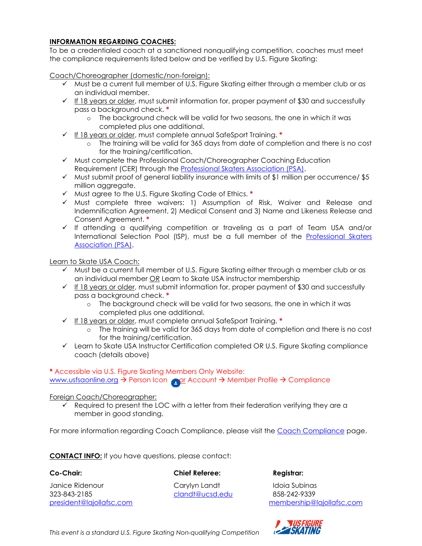### **INFORMATION REGARDING COACHES:**

To be a credentialed coach at a sanctioned nonqualifying competition, coaches must meet the compliance requirements listed below and be verified by U.S. Figure Skating:

Coach/Choreographer (domestic/non-foreign):

- $\checkmark$  Must be a current full member of U.S. Figure Skating either through a member club or as an individual member.
- $\checkmark$  If 18 years or older, must submit information for, proper payment of \$30 and successfully pass a background check. **\***
	- o The background check will be valid for two seasons, the one in which it was completed plus one additional.
- ✓ If 18 years or older, must complete annual SafeSport Training. **\***
	- o The training will be valid for 365 days from date of completion and there is no cost for the training/certification.
- ✓ Must complete the Professional Coach/Choreographer Coaching Education Requirement (CER) through the [Professional Skaters Association \(PSA\).](https://skatepsa.com/compliance)
- $\checkmark$  Must submit proof of general liability insurance with limits of \$1 million per occurrence/ \$5 million aggregate.
- ✓ Must agree to the U.S. Figure Skating Code of Ethics. **\***
- ✓ Must complete three waivers: 1) Assumption of Risk, Waiver and Release and Indemnification Agreement, 2) Medical Consent and 3) Name and Likeness Release and Consent Agreement. **\***
- ✓ If attending a qualifying competition or traveling as a part of Team USA and/or International Selection Pool (ISP), must be a full member of the [Professional Skaters](https://skatepsa.com/membership)  [Association](https://skatepsa.com/membership) (PSA).

Learn to Skate USA Coach:

- $\checkmark$  Must be a current full member of U.S. Figure Skating either through a member club or as an individual member OR Learn to Skate USA instructor membership
- ✓ If 18 years or older, must submit information for, proper payment of \$30 and successfully pass a background check. **\***
	- o The background check will be valid for two seasons, the one in which it was completed plus one additional.
- ✓ If 18 years or older, must complete annual SafeSport Training. **\***
	- o The training will be valid for 365 days from date of completion and there is no cost for the training/certification.
- ✓ Learn to Skate USA Instructor Certification completed OR U.S. Figure Skating compliance coach (details above)

### **\*** Accessible via U.S. Figure Skating Members Only Website:

[www.usfsaonline.org](http://www.usfsaonline.org/) → Person Icon or Account → Member Profile → Compliance

Foreign Coach/Choreographer:

 $\checkmark$  Required to present the LOC with a letter from their federation verifying they are a member in good standing.

For more information regarding Coach Compliance, please visit the [Coach Compliance](https://www.usfigureskating.org/support/coach/coach-compliance) page.

**CONTACT INFO:** If you have questions, please contact:

### **Co-Chair: Chief Referee: Registrar:**

Janice Ridenour Carylyn Landt Idoia Subinas 323-843-2185 [clandt@ucsd.edu](mailto:clandt@ucsd.edu) 858-242-9339

[president@lajollafsc.com](mailto:president@lajollafsc.com) [membership@lajollafsc.com](mailto:membership@lajollafsc.com)



*This event is a standard U.S. Figure Skating Non-qualifying Competition*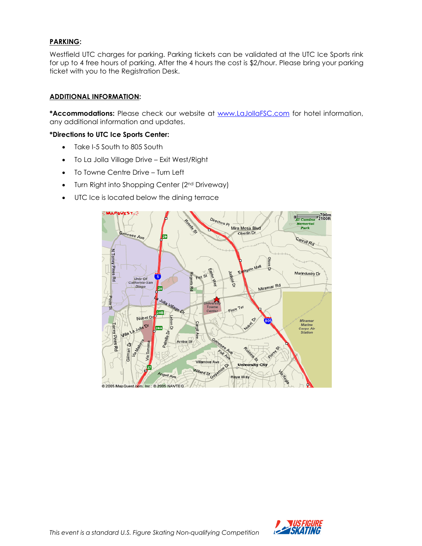### **PARKING:**

Westfield UTC charges for parking. Parking tickets can be validated at the UTC Ice Sports rink for up to 4 free hours of parking. After the 4 hours the cost is \$2/hour. Please bring your parking ticket with you to the Registration Desk.

### **ADDITIONAL INFORMATION:**

**\*Accommodations:** Please check our website at [www.LaJollaFSC.com](http://www.lajollafsc.com/) for hotel information, any additional information and updates.

### **\*Directions to UTC Ice Sports Center:**

- Take I-5 South to 805 South
- To La Jolla Village Drive Exit West/Right
- To Towne Centre Drive Turn Left
- Turn Right into Shopping Center (2<sup>nd</sup> Driveway)
- UTC Ice is located below the dining terrace



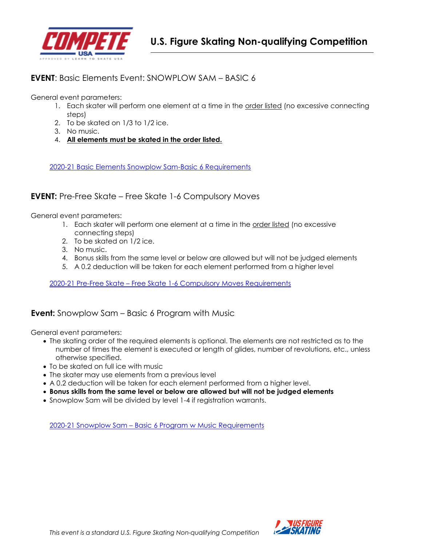

### **EVENT**: Basic Elements Event: SNOWPLOW SAM – BASIC 6

General event parameters:

- 1. Each skater will perform one element at a time in the order listed (no excessive connecting steps)
- 2. To be skated on 1/3 to 1/2 ice.
- 3. No music.
- 4. **All elements must be skated in the order listed.**

[2020-21 Basic Elements Snowplow Sam-Basic 6 Requirements](https://www.usfigureskating.org/sites/default/files/media-files/2020-21%20Compete%20USA%20Manual.pdf#page=7)

### **EVENT:** Pre-Free Skate – Free Skate 1-6 Compulsory Moves

General event parameters:

- 1. Each skater will perform one element at a time in the order listed (no excessive connecting steps)
- 2. To be skated on 1/2 ice.
- 3. No music.
- 4. Bonus skills from the same level or below are allowed but will not be judged elements
- 5. A 0.2 deduction will be taken for each element performed from a higher level

2020-21 Pre-Free Skate – [Free Skate 1-6 Compulsory](https://www.usfigureskating.org/sites/default/files/media-files/2020-21%20Compete%20USA%20Manual.pdf#page=9) Moves Requirements

### **Event:** Snowplow Sam – Basic 6 Program with Music

General event parameters:

- The skating order of the required elements is optional. The elements are not restricted as to the number of times the element is executed or length of glides, number of revolutions, etc., unless otherwise specified.
- To be skated on full ice with music
- The skater may use elements from a previous level
- A 0.2 deduction will be taken for each element performed from a higher level.
- **Bonus skills from the same level or below are allowed but will not be judged elements**
- Snowplow Sam will be divided by level 1-4 if registration warrants.

2020-21 Snowplow Sam – [Basic 6 Program w Music Requirements](https://www.usfigureskating.org/sites/default/files/media-files/2020-21%20Compete%20USA%20Manual.pdf#page=8)

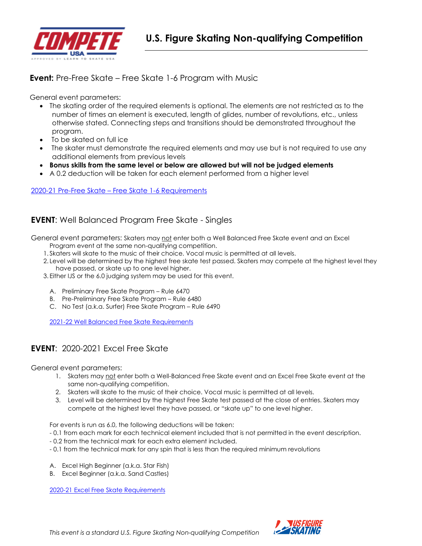

### **Event:** Pre-Free Skate – Free Skate 1-6 Program with Music

General event parameters:

- The skating order of the required elements is optional. The elements are not restricted as to the number of times an element is executed, length of glides, number of revolutions, etc., unless otherwise stated. Connecting steps and transitions should be demonstrated throughout the program.
- To be skated on full ice
- The skater must demonstrate the required elements and may use but is not required to use any additional elements from previous levels
- **Bonus skills from the same level or below are allowed but will not be judged elements**
- A 0.2 deduction will be taken for each element performed from a higher level

2020-21 Pre-Free Skate – [Free Skate 1-6 Requirements](https://www.usfigureskating.org/sites/default/files/media-files/2020-21%20Compete%20USA%20Manual.pdf#page=10)

### **EVENT**: Well Balanced Program Free Skate - Singles

General event parameters: Skaters may not enter both a Well Balanced Free Skate event and an Excel

- Program event at the same non-qualifying competition.
- 1. Skaters will skate to the music of their choice. Vocal music is permitted at all levels.
- 2. Level will be determined by the highest free skate test passed. Skaters may compete at the highest level they have passed, or skate up to one level higher.
- 3. Either IJS or the 6.0 judging system may be used for this event.
	- A. Preliminary Free Skate Program Rule 6470
	- B. Pre-Preliminary Free Skate Program Rule 6480
	- C. No Test (a.k.a. Surfer) Free Skate Program Rule 6490

2021-22 [Well Balanced Free Skate Requirements](https://www.usfigureskating.org/system/files/2021-22%20Singles%20FS%20Chart.pdf)

### **EVENT**: 2020-2021 Excel Free Skate

General event parameters:

- 1. Skaters may not enter both a Well-Balanced Free Skate event and an Excel Free Skate event at the same non-qualifying competition.
- 2. Skaters will skate to the music of their choice. Vocal music is permitted at all levels.
- 3. Level will be determined by the highest Free Skate test passed at the close of entries. Skaters may compete at the highest level they have passed, or "skate up" to one level higher.

For events is run as 6.0, the following deductions will be taken:

- 0.1 from each mark for each technical element included that is not permitted in the event description.
- 0.2 from the technical mark for each extra element included.
- 0.1 from the technical mark for any spin that is less than the required minimum revolutions
- A. Excel High Beginner (a.k.a. Star Fish)
- B. Excel Beginner (a.k.a. Sand Castles)

2020-21 Excel Free [Skate Requirements](https://www.usfigureskating.org/system/files/2021%20Excel%20FS%20Requirements.pdf)